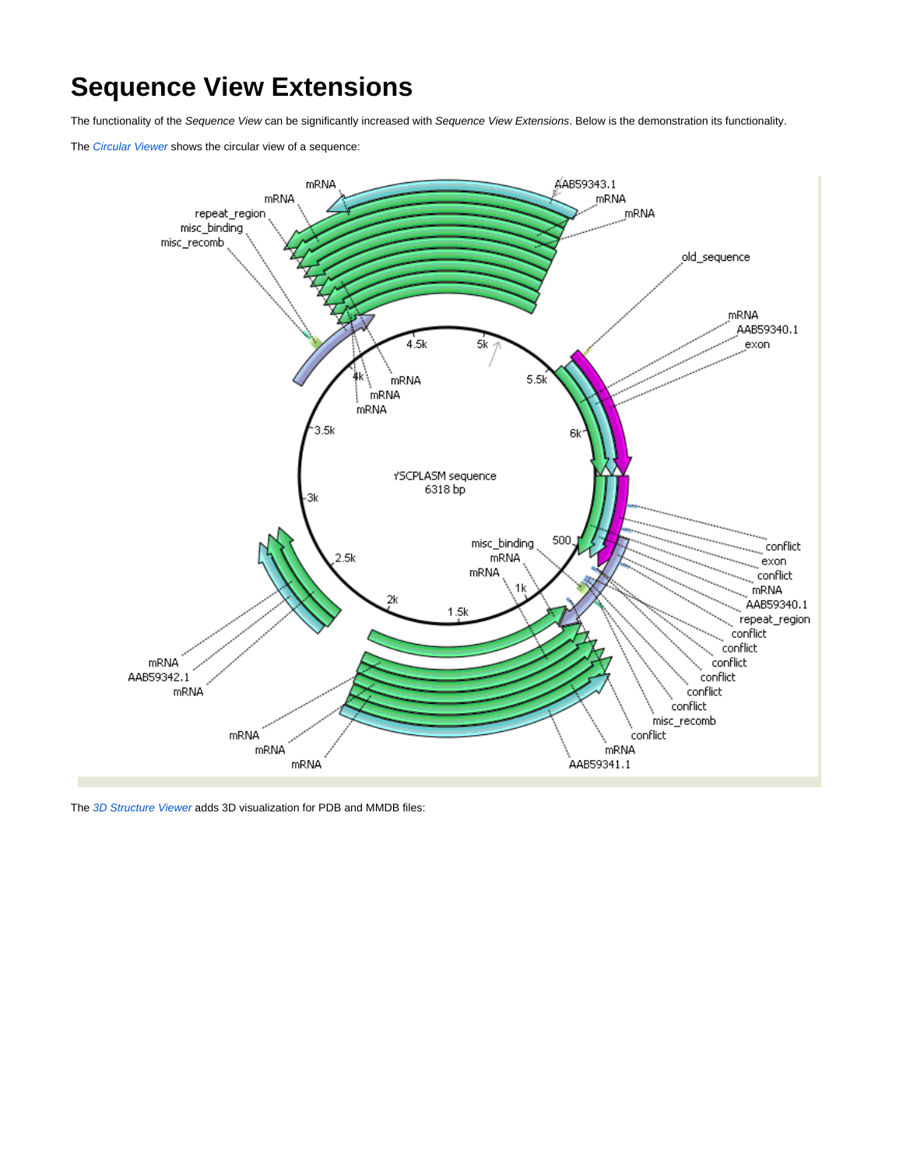## **Sequence View Extensions**

The functionality of the Sequence View can be significantly increased with Sequence View Extensions. Below is the demonstration its functionality.

The [Circular Viewer](https://doc.ugene.net/wiki/display/UUOUM16/Circular+Viewer) shows the circular view of a sequence:



The [3D Structure Viewer](https://doc.ugene.net/wiki/display/UUOUM16/3D+Structure+Viewer) adds 3D visualization for PDB and MMDB files: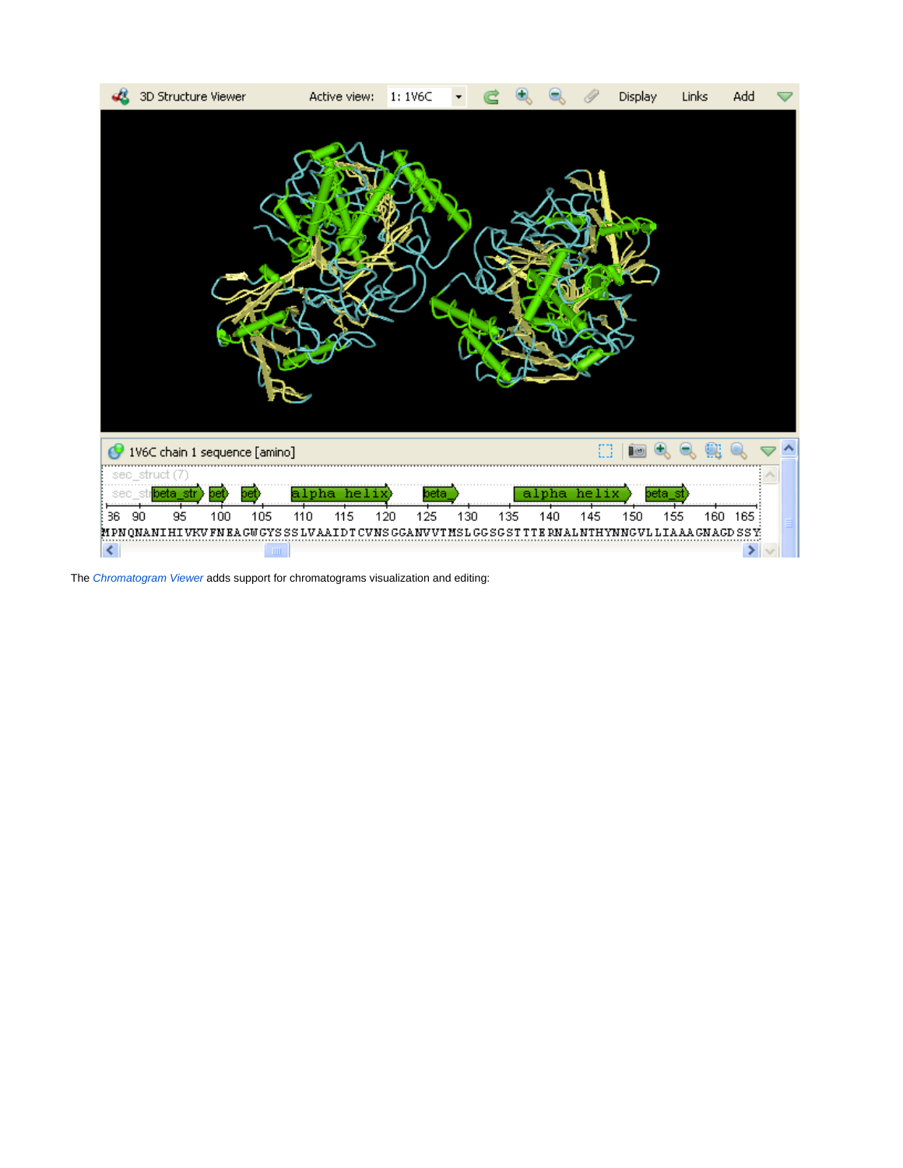

The [Chromatogram Viewer](https://doc.ugene.net/wiki/display/UUOUM16/Chromatogram+Viewer) adds support for chromatograms visualization and editing: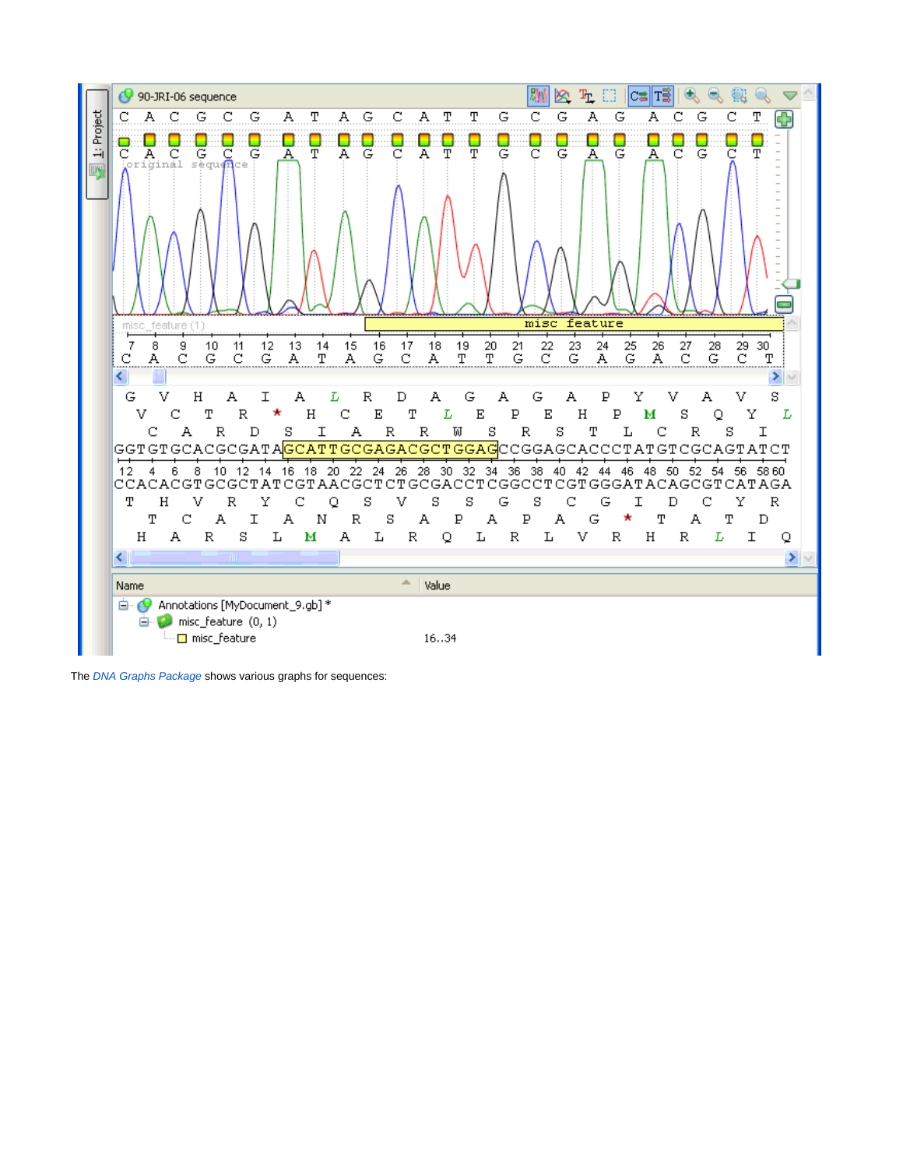

The [DNA Graphs Package](https://doc.ugene.net/wiki/pages/viewpage.action?pageId=14058991) shows various graphs for sequences: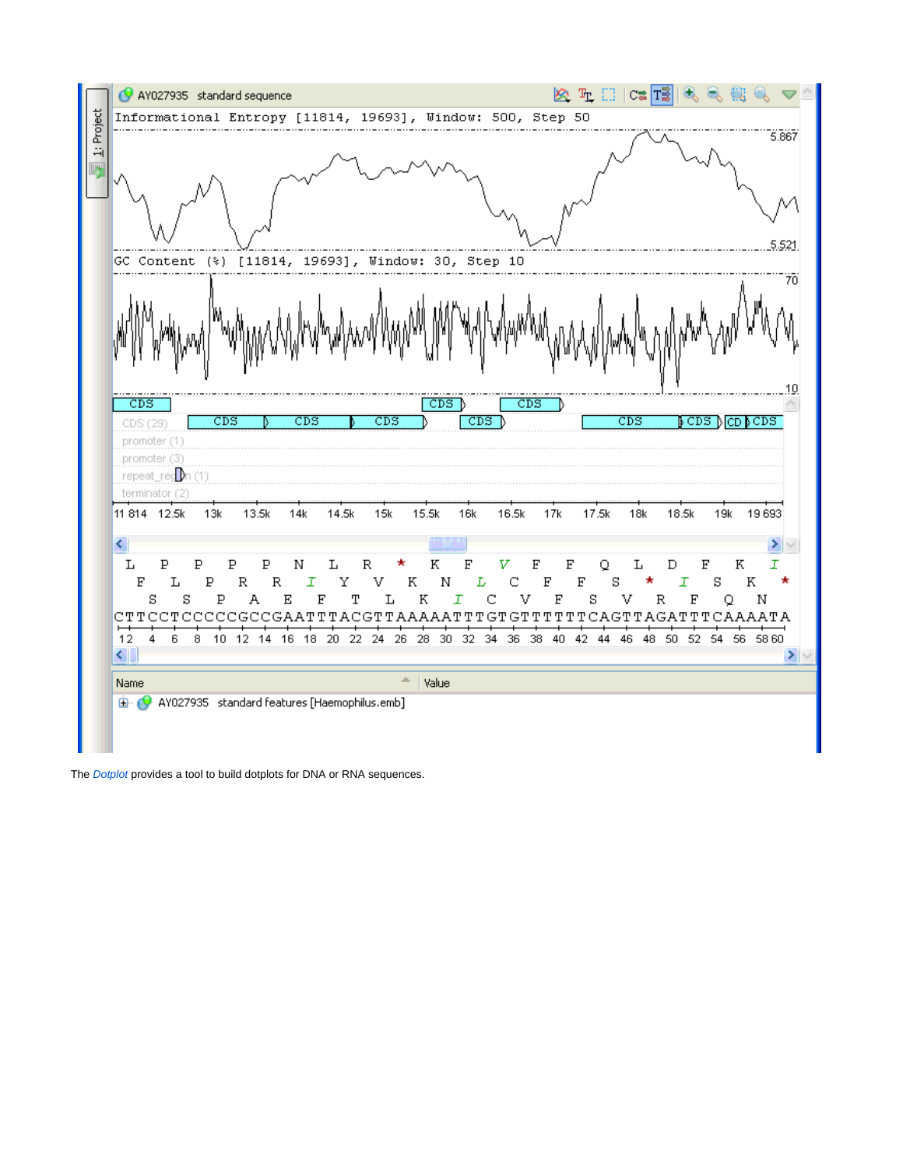

The **[Dotplot](https://doc.ugene.net/wiki/display/UUOUM16/Dotplot)** provides a tool to build dotplots for DNA or RNA sequences.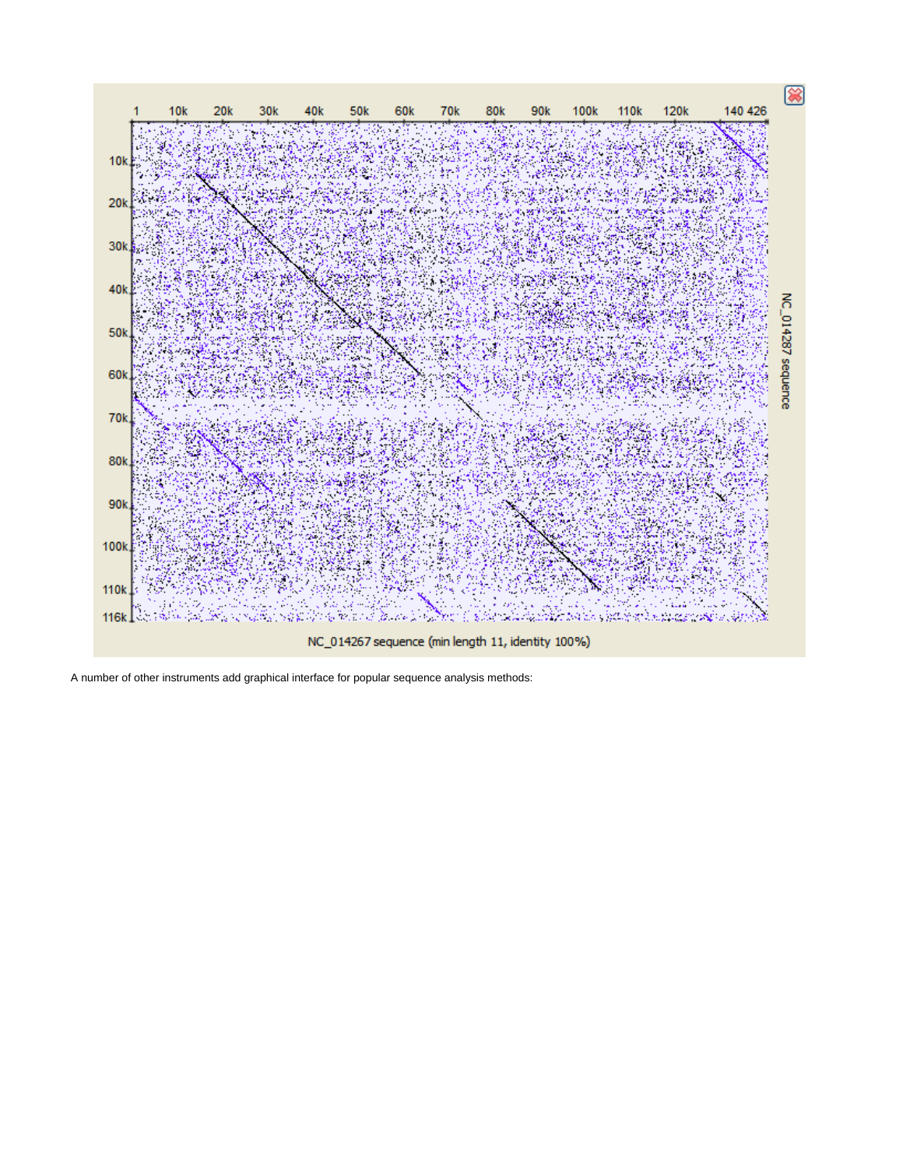



A number of other instruments add graphical interface for popular sequence analysis methods: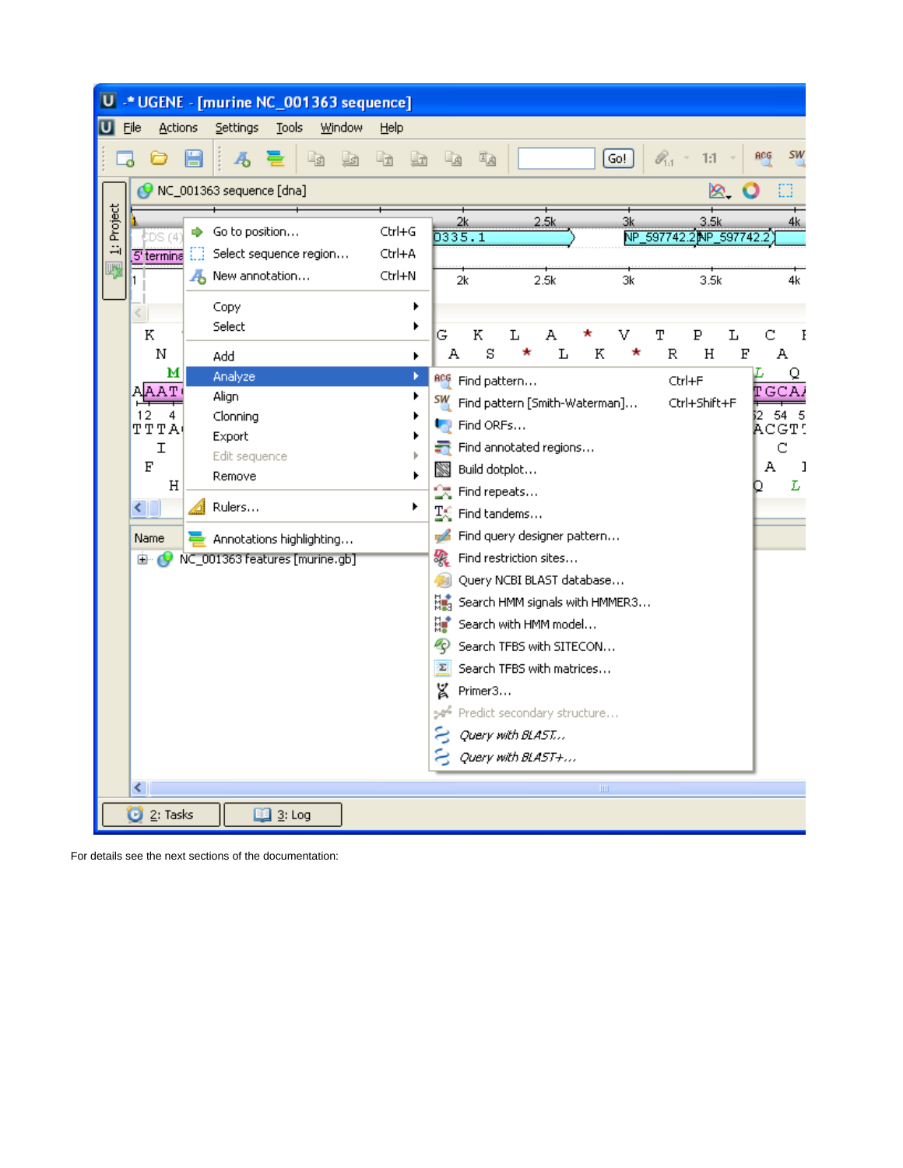

For details see the next sections of the documentation: